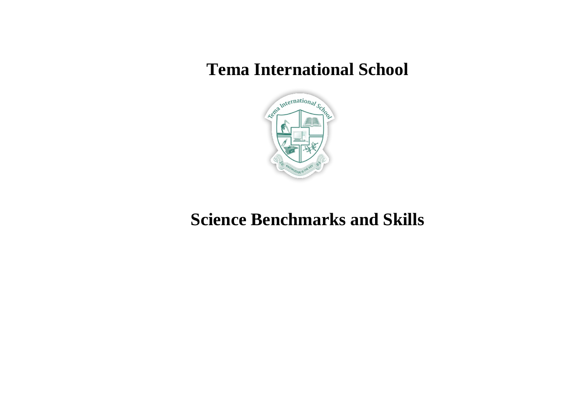## **Tema International School**



## **Science Benchmarks and Skills**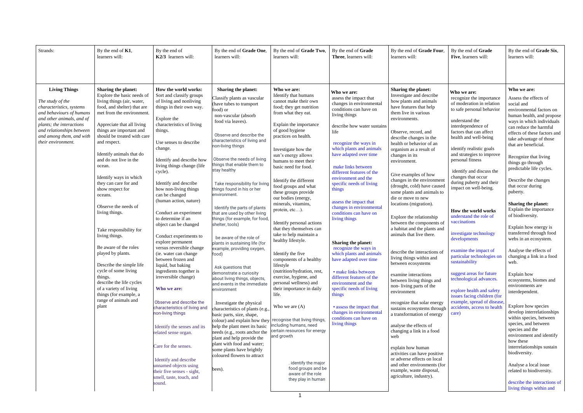| Strands:                                                                                                                                                                                                                                 | By the end of $K1$ ,                                                                                                                                                                                                                                                                                                                                                                                                                                                                                                                                                                                                                                                                                                        | By the end of                                                                                                                                                                                                                                                                                                                                                                                                                                                                                                                                                                                                                                                                                                                                                                                                                                                                                                                                            | By the end of Grade One,                                                                                                                                                                                                                                                                                                                                                                                                                                                                                                                                                                                                                                                                                                                                                                                                                                                                                                                                                                                                                                                                | By the end of Grade Two,                                                                                                                                                                                                                                                                                                                                                                                                                                                                                                                                                                                                                                                                                                                                                                                                                                                                                                                           | By the end of Grade                                                                                                                                                                                                                                                                                                                                                                                                                                                                                                                                                                                                                                                                                                                                                           | By the end of Grade Four,                                                                                                                                                                                                                                                                                                                                                                                                                                                                                                                                                                                                                                                                                                                                                                                                                                                                                                                                                                                                                                                                                     | By the end of Grade                                                                                                                                                                                                                                                                                                                                                                                                                                                                                                                                                                                                                                                                                                                                             | By the end of Grade Six,                                                                                                                                                                                                                                                                                                                                                                                                                                                                                                                                                                                                                                                                                                                                                                                                                                                                                                                                                                                                              |
|------------------------------------------------------------------------------------------------------------------------------------------------------------------------------------------------------------------------------------------|-----------------------------------------------------------------------------------------------------------------------------------------------------------------------------------------------------------------------------------------------------------------------------------------------------------------------------------------------------------------------------------------------------------------------------------------------------------------------------------------------------------------------------------------------------------------------------------------------------------------------------------------------------------------------------------------------------------------------------|----------------------------------------------------------------------------------------------------------------------------------------------------------------------------------------------------------------------------------------------------------------------------------------------------------------------------------------------------------------------------------------------------------------------------------------------------------------------------------------------------------------------------------------------------------------------------------------------------------------------------------------------------------------------------------------------------------------------------------------------------------------------------------------------------------------------------------------------------------------------------------------------------------------------------------------------------------|-----------------------------------------------------------------------------------------------------------------------------------------------------------------------------------------------------------------------------------------------------------------------------------------------------------------------------------------------------------------------------------------------------------------------------------------------------------------------------------------------------------------------------------------------------------------------------------------------------------------------------------------------------------------------------------------------------------------------------------------------------------------------------------------------------------------------------------------------------------------------------------------------------------------------------------------------------------------------------------------------------------------------------------------------------------------------------------------|----------------------------------------------------------------------------------------------------------------------------------------------------------------------------------------------------------------------------------------------------------------------------------------------------------------------------------------------------------------------------------------------------------------------------------------------------------------------------------------------------------------------------------------------------------------------------------------------------------------------------------------------------------------------------------------------------------------------------------------------------------------------------------------------------------------------------------------------------------------------------------------------------------------------------------------------------|-------------------------------------------------------------------------------------------------------------------------------------------------------------------------------------------------------------------------------------------------------------------------------------------------------------------------------------------------------------------------------------------------------------------------------------------------------------------------------------------------------------------------------------------------------------------------------------------------------------------------------------------------------------------------------------------------------------------------------------------------------------------------------|---------------------------------------------------------------------------------------------------------------------------------------------------------------------------------------------------------------------------------------------------------------------------------------------------------------------------------------------------------------------------------------------------------------------------------------------------------------------------------------------------------------------------------------------------------------------------------------------------------------------------------------------------------------------------------------------------------------------------------------------------------------------------------------------------------------------------------------------------------------------------------------------------------------------------------------------------------------------------------------------------------------------------------------------------------------------------------------------------------------|-----------------------------------------------------------------------------------------------------------------------------------------------------------------------------------------------------------------------------------------------------------------------------------------------------------------------------------------------------------------------------------------------------------------------------------------------------------------------------------------------------------------------------------------------------------------------------------------------------------------------------------------------------------------------------------------------------------------------------------------------------------------|---------------------------------------------------------------------------------------------------------------------------------------------------------------------------------------------------------------------------------------------------------------------------------------------------------------------------------------------------------------------------------------------------------------------------------------------------------------------------------------------------------------------------------------------------------------------------------------------------------------------------------------------------------------------------------------------------------------------------------------------------------------------------------------------------------------------------------------------------------------------------------------------------------------------------------------------------------------------------------------------------------------------------------------|
|                                                                                                                                                                                                                                          | learners will:                                                                                                                                                                                                                                                                                                                                                                                                                                                                                                                                                                                                                                                                                                              | K2/3 learners will:                                                                                                                                                                                                                                                                                                                                                                                                                                                                                                                                                                                                                                                                                                                                                                                                                                                                                                                                      | learners will:                                                                                                                                                                                                                                                                                                                                                                                                                                                                                                                                                                                                                                                                                                                                                                                                                                                                                                                                                                                                                                                                          | learners will:                                                                                                                                                                                                                                                                                                                                                                                                                                                                                                                                                                                                                                                                                                                                                                                                                                                                                                                                     | Three, learners will:                                                                                                                                                                                                                                                                                                                                                                                                                                                                                                                                                                                                                                                                                                                                                         | learners will:                                                                                                                                                                                                                                                                                                                                                                                                                                                                                                                                                                                                                                                                                                                                                                                                                                                                                                                                                                                                                                                                                                | Five, learners will:                                                                                                                                                                                                                                                                                                                                                                                                                                                                                                                                                                                                                                                                                                                                            | learners will:                                                                                                                                                                                                                                                                                                                                                                                                                                                                                                                                                                                                                                                                                                                                                                                                                                                                                                                                                                                                                        |
| <b>Living Things</b><br>The study of the<br>characteristics, systems<br>and behaviours of humans<br>and other animals, and of<br>plants; the interactions<br>and relationships between<br>and among them, and with<br>their environment. | Sharing the planet:<br>Explore the basic needs of<br>living things (air, water,<br>food, and shelter) that are<br>met from the environment.<br>Appreciate that all living<br>things are important and<br>should be treated with care<br>and respect.<br>Identify animals that do<br>and do not live in the<br>ocean.<br>Identify ways in which<br>they can care for and<br>show respect for<br>oceans.<br>Observe the needs of<br>living things.<br>Take responsibility for<br>living things.<br>Be aware of the roles<br>played by plants.<br>Describe the simple life<br>cycle of some living<br>things.<br>describe the life cycles<br>of a variety of living<br>things (for example, a<br>range of animals and<br>plant | How the world works:<br>Sort and classify groups<br>of living and nonliving<br>things in their own way.<br>Explore the<br>characteristics of living<br>things.<br>Use senses to describe<br>change.<br>Identify and describe how<br>living things change (life<br>cycle).<br>Identify and describe<br>how non-living things<br>can be changed<br>(human action, nature)<br>Conduct an experiment<br>to determine if an<br>object can be changed<br>Conduct experiments to<br>explore permanent<br>versus reversible change<br>(ie. water can change<br>between frozen and<br>liquid, but baking<br>ingredients together is<br>irreversible change)<br>Who we are:<br>Observe and describe the<br>characteristics of living and<br>non-living things<br>Identify the senses and its<br>related sense organ.<br>Care for the senses.<br>Identify and describe<br>unnamed objects using<br>their five senses - sight,<br>smell, taste, touch, and<br>sound. | <b>Sharing the planet:</b><br>Classify plants as vascular<br>(have tubes to transport<br>food) or<br>non-vascular (absorb<br>food via leaves).<br>Observe and describe the<br>characteristics of living and<br>non-living things<br>Observe the needs of living<br>things that enable them to<br>stay healthy<br>Take responsibility for living<br>things found in his or her<br>environment.<br>Identify the parts of plants<br>that are used by other living<br>things (for example, for food<br>shelter, tools)<br>be aware of the role of<br>plants in sustaining life (for<br>example, providing oxygen,<br>food)<br>Ask questions that<br>demonstrate a curiosity<br>about living things, objects,<br>and events in the immediate<br>environment<br>Investigate the physical<br>characteristics of plants (e.g.,<br>basic parts, size, shape,<br>colour) and explain how they<br>help the plant meet its basic<br>needs (e.g., roots anchor the<br>plant and help provide the<br>plant with food and water;<br>some plants have brightly<br>coloured flowers to attract<br>bees). | Who we are:<br>Identify that humans<br>cannot make their own<br>food; they get nutrition<br>from what they eat.<br>Explain the importance<br>of good hygiene<br>practices on health.<br>Investigate how the<br>sun's energy allows<br>humans to meet their<br>basic need for food.<br>Identify the different<br>food groups and what<br>these groups provide<br>our bodies (energy,<br>minerals, vitamins,<br>protein, etc).<br>Identify personal actions<br>that they themselves can<br>take to help maintain a<br>healthy lifestyle.<br>Identify the five<br>components of a healthy<br>lifestyle<br>(nutrition/hydration, rest,<br>exercise, hygiene, and<br>personal wellness) and<br>their importance in daily<br>life.<br>Who we are $(A)$<br>recognise that living things,<br>including humans, need<br>certain resources for energy<br>and growth<br>. identify the major<br>food groups and be<br>aware of the role<br>they play in human | Who we are:<br>assess the impact that<br>changes in environmental<br>conditions can have on<br>living things<br>describe how water sustains<br>life<br>recognize the ways in<br>which plants and animals<br>have adapted over time<br>make links between<br>different features of the<br>environment and the<br>specific needs of living<br>things<br>assess the impact that<br>changes in environmental<br>conditions can have on<br>living things<br>Sharing the planet:<br>recognize the ways in<br>which plants and animals<br>have adapted over time<br>· make links between<br>different features of the<br>environment and the<br>specific needs of living<br>things<br>• assess the impact that<br>changes in environmenta<br>conditions can have on<br>living things | <b>Sharing the planet:</b><br>Investigate and describe<br>how plants and animals<br>have features that help<br>them live in various<br>environments.<br>Observe, record, and<br>describe changes in the<br>health or behavior of an<br>organism as a result of<br>changes in its<br>environment.<br>Give examples of how<br>changes in the environment<br>(drought, cold) have caused<br>some plants and animals to<br>die or move to new<br>locations (migration).<br>Explore the relationship<br>between the components of<br>a habitat and the plants and<br>animals that live there.<br>describe the interactions of<br>living things within and<br>between ecosystems<br>examine interactions<br>between living things and<br>non-living parts of the<br>environment<br>recognize that solar energy<br>sustains ecosystems through<br>a transformation of energy<br>analyse the effects of<br>changing a link in a food<br>web<br>explain how human<br>activities can have positive<br>or adverse effects on local<br>and other environments (for<br>example, waste disposal,<br>agriculture, industry). | Who we are:<br>recognize the importance<br>of moderation in relation<br>to safe personal behavior<br>understand the<br>interdependence of<br>factors that can affect<br>health and well-being<br>identify realistic goals<br>and strategies to improve<br>personal fitness<br>identify and discuss the<br>changes that occur<br>during puberty and their<br>impact on well-being.<br>How the world works<br>understand the role of<br>vaccinations<br>investigate technology<br>developments<br>examine the impact of<br>particular technologies on<br>sustainability<br>suggest areas for future<br>technological advances.<br>explore health and safety<br>issues facing children (for<br>example, spread of disease,<br>accidents, access to health<br>care) | Who we are:<br>Assess the effects of<br>social and<br>environmental factors on<br>human health, and propose<br>ways in which individuals<br>can reduce the harmful<br>effects of these factors and<br>take advantage of those<br>that are beneficial.<br>Recognize that living<br>things go through<br>predictable life cycles.<br>Describe the changes<br>that occur during<br>puberty.<br><b>Sharing the planet:</b><br>Explain the importance<br>of biodiversity.<br>Explain how energy is<br>transferred through food<br>webs in an ecosystem.<br>Analyse the effects of<br>changing a link in a food<br>web.<br>Explain how<br>ecosystems, biomes and<br>environments are<br>interdependent.<br>Explore how species<br>develop interrelationships<br>within species, between<br>species, and between<br>species and the<br>environment and identify<br>how these<br>interrelationships sustain<br>biodiversity.<br>Analyse a local issue<br>related to biodiversity.<br>describe the interactions of<br>living things within and |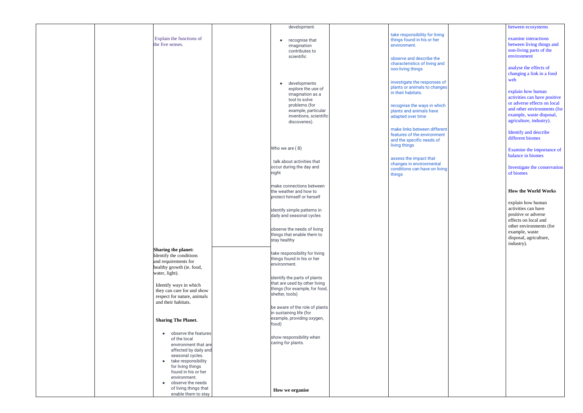|                                | development.                   |                                | between ecosystems           |
|--------------------------------|--------------------------------|--------------------------------|------------------------------|
|                                |                                | take responsibility for living |                              |
| Explain the functions of       | recognise that                 | things found in his or her     | examine interactions         |
| the five senses.               | $\bullet$                      |                                | between living things and    |
|                                | imagination                    | environment.                   |                              |
|                                | contributes to                 |                                | non-living parts of the      |
|                                | scientific                     | observe and describe the       | environment                  |
|                                |                                |                                |                              |
|                                |                                | characteristics of living and  |                              |
|                                |                                | non-living things              | analyse the effects of       |
|                                |                                |                                | changing a link in a food    |
|                                |                                |                                | web                          |
|                                | developments<br>$\bullet$      | investigate the responses of   |                              |
|                                | explore the use of             | plants or animals to changes   |                              |
|                                | imagination as a               | in their habitats.             | explain how human            |
|                                | tool to solve                  |                                | activities can have positive |
|                                |                                |                                | or adverse effects on local  |
|                                | problems (for                  | recognise the ways in which    | and other environments (for  |
|                                | example, particular            | plants and animals have        |                              |
|                                | inventions, scientific         | adapted over time              | example, waste disposal,     |
|                                | discoveries).                  |                                | agriculture, industry).      |
|                                |                                |                                |                              |
|                                |                                | make links between different   |                              |
|                                |                                | features of the environment    | Identify and describe        |
|                                |                                | and the specific needs of      | different biomes             |
|                                |                                |                                |                              |
|                                | Who we are (B)                 | living things                  |                              |
|                                |                                |                                | Examine the importance of    |
|                                |                                | assess the impact that         | balance in biomes            |
|                                | talk about activities that     |                                |                              |
|                                | occur during the day and       | changes in environmental       | Investigate the conservation |
|                                |                                | conditions can have on living  |                              |
|                                | night                          | things                         | of biomes                    |
|                                |                                |                                |                              |
|                                | make connections between       |                                |                              |
|                                |                                |                                |                              |
|                                | the weather and how to         |                                | <b>How the World Works</b>   |
|                                | protect himself or herself     |                                |                              |
|                                |                                |                                | explain how human            |
|                                |                                |                                | activities can have          |
|                                | identify simple patterns in    |                                |                              |
|                                | daily and seasonal cycles      |                                | positive or adverse          |
|                                |                                |                                | effects on local and         |
|                                |                                |                                | other environments (for      |
|                                | observe the needs of living    |                                |                              |
|                                | things that enable them to     |                                | example, waste               |
|                                | stay healthy                   |                                | disposal, agriculture,       |
|                                |                                |                                | industry).                   |
| <b>Sharing the planet:</b>     |                                |                                |                              |
|                                | take responsibility for living |                                |                              |
| Identify the conditions        | things found in his or her     |                                |                              |
| and requirements for           |                                |                                |                              |
| healthy growth (ie. food,      | environment.                   |                                |                              |
|                                |                                |                                |                              |
| water, light).                 |                                |                                |                              |
|                                | identify the parts of plants   |                                |                              |
| Identify ways in which         | that are used by other living  |                                |                              |
| they can care for and show     | things (for example, for food, |                                |                              |
|                                | shelter, tools)                |                                |                              |
| respect for nature, animals    |                                |                                |                              |
| and their habitats.            |                                |                                |                              |
|                                | be aware of the role of plants |                                |                              |
|                                | in sustaining life (for        |                                |                              |
|                                | example, providing oxygen,     |                                |                              |
| <b>Sharing The Planet.</b>     |                                |                                |                              |
|                                | food)                          |                                |                              |
|                                |                                |                                |                              |
| observe the features           |                                |                                |                              |
| of the local                   | show responsibility when       |                                |                              |
| environment that are           | caring for plants.             |                                |                              |
| affected by daily and          |                                |                                |                              |
|                                |                                |                                |                              |
| seasonal cycles.               |                                |                                |                              |
| • take responsibility          |                                |                                |                              |
| for living things              |                                |                                |                              |
| found in his or her            |                                |                                |                              |
| environment.                   |                                |                                |                              |
|                                |                                |                                |                              |
| observe the needs<br>$\bullet$ |                                |                                |                              |
| of living things that          | How we organise                |                                |                              |
| enable them to stay            |                                |                                |                              |
|                                |                                |                                |                              |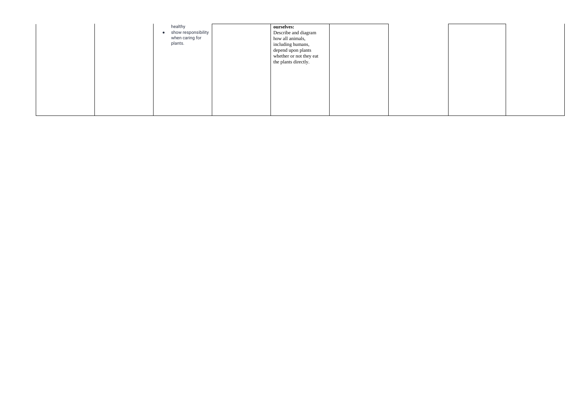| $\bullet$ | healthy<br>show responsibility<br>when caring for<br>plants. | ourselves:<br>Describe and diagram<br>how all animals,<br>including humans,<br>depend upon plants<br>whether or not they eat<br>the plants directly. |  |
|-----------|--------------------------------------------------------------|------------------------------------------------------------------------------------------------------------------------------------------------------|--|
|-----------|--------------------------------------------------------------|------------------------------------------------------------------------------------------------------------------------------------------------------|--|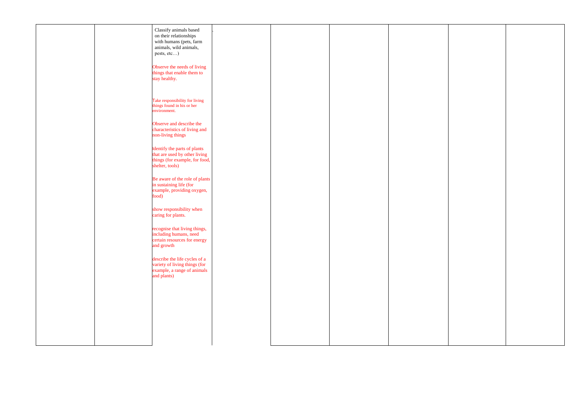|  | Classify animals based<br>on their relationships<br>with humans (pets, farm<br>animals, wild animals,<br>pests, etc) |  |  |
|--|----------------------------------------------------------------------------------------------------------------------|--|--|
|  | Observe the needs of living<br>things that enable them to<br>stay healthy.                                           |  |  |
|  | Take responsibility for living<br>things found in his or her<br>environment.                                         |  |  |
|  | Observe and describe the<br>characteristics of living and<br>non-living things                                       |  |  |
|  | Identify the parts of plants<br>that are used by other living<br>things (for example, for food,<br>shelter, tools)   |  |  |
|  | Be aware of the role of plants<br>in sustaining life (for<br>example, providing oxygen,<br>food)                     |  |  |
|  | show responsibility when<br>caring for plants.                                                                       |  |  |
|  | recognise that living things,<br>including humans, need<br>certain resources for energy<br>and growth                |  |  |
|  | describe the life cycles of a<br>variety of living things (for<br>example, a range of animals<br>and plants)         |  |  |
|  |                                                                                                                      |  |  |
|  |                                                                                                                      |  |  |
|  |                                                                                                                      |  |  |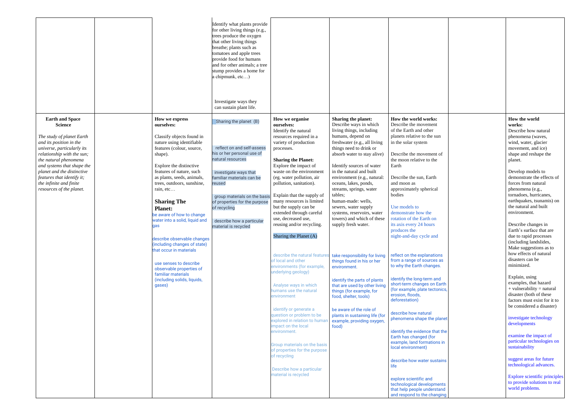|                                                                                                                                                                                                                                                                                                                                        |                                                                                                                                                                                                                                                                                                                                                                                                                                                                                                                                                                                             | Identify what plants provide<br>for other living things (e.g.,<br>trees produce the oxygen<br>that other living things<br>breathe; plants such as<br>tomatoes and apple trees<br>provide food for humans<br>and for other animals; a tree<br>stump provides a home for<br>a chipmunk, etc)<br>Investigate ways they<br>can sustain plant life. |                                                                                                                                                                                                                                                                                                                                                                                                                                                                                                                                                                                                                                                                                                                                                                                                                                                                                                                     |                                                                                                                                                                                                                                                                                                                                                                                                                                                                                                                                                                                                                                                                                                                                                                                           |                                                                                                                                                                                                                                                                                                                                                                                                                                                                                                                                                                                                                                                                                                                                                                                                                                                                                                                              |                                                                                                                                                                                                                                                                                                                                                                                                                                                                                                                                                                                                                                                                                                                                                                                                                                                                                                                                                                                   |
|----------------------------------------------------------------------------------------------------------------------------------------------------------------------------------------------------------------------------------------------------------------------------------------------------------------------------------------|---------------------------------------------------------------------------------------------------------------------------------------------------------------------------------------------------------------------------------------------------------------------------------------------------------------------------------------------------------------------------------------------------------------------------------------------------------------------------------------------------------------------------------------------------------------------------------------------|------------------------------------------------------------------------------------------------------------------------------------------------------------------------------------------------------------------------------------------------------------------------------------------------------------------------------------------------|---------------------------------------------------------------------------------------------------------------------------------------------------------------------------------------------------------------------------------------------------------------------------------------------------------------------------------------------------------------------------------------------------------------------------------------------------------------------------------------------------------------------------------------------------------------------------------------------------------------------------------------------------------------------------------------------------------------------------------------------------------------------------------------------------------------------------------------------------------------------------------------------------------------------|-------------------------------------------------------------------------------------------------------------------------------------------------------------------------------------------------------------------------------------------------------------------------------------------------------------------------------------------------------------------------------------------------------------------------------------------------------------------------------------------------------------------------------------------------------------------------------------------------------------------------------------------------------------------------------------------------------------------------------------------------------------------------------------------|------------------------------------------------------------------------------------------------------------------------------------------------------------------------------------------------------------------------------------------------------------------------------------------------------------------------------------------------------------------------------------------------------------------------------------------------------------------------------------------------------------------------------------------------------------------------------------------------------------------------------------------------------------------------------------------------------------------------------------------------------------------------------------------------------------------------------------------------------------------------------------------------------------------------------|-----------------------------------------------------------------------------------------------------------------------------------------------------------------------------------------------------------------------------------------------------------------------------------------------------------------------------------------------------------------------------------------------------------------------------------------------------------------------------------------------------------------------------------------------------------------------------------------------------------------------------------------------------------------------------------------------------------------------------------------------------------------------------------------------------------------------------------------------------------------------------------------------------------------------------------------------------------------------------------|
| <b>Earth and Space</b><br><b>Science</b><br>The study of planet Earth<br>and its position in the<br>universe, particularly its<br>relationship with the sun;<br>the natural phenomena<br>and systems that shape the<br>planet and the distinctive<br>features that identify it;<br>the infinite and finite<br>resources of the planet. | How we express<br>ourselves:<br>Classify objects found in<br>nature using identifiable<br>features (colour, source,<br>shape).<br>Explore the distinctive<br>features of nature, such<br>as plants, seeds, animals,<br>trees, outdoors, sunshine,<br>rain, etc<br><b>Sharing The</b><br><b>Planet:</b><br>be aware of how to change<br>water into a solid, liquid and<br>qas<br>describe observable changes<br>(including changes of state)<br>that occur in materials<br>use senses to describe<br>observable properties of<br>familiar materials<br>(including solids, liquids,<br>gases) | Sharing the planet (B)<br>reflect on and self-assess<br>his or her personal use of<br>natural resources<br>investigate ways that<br>familiar materials can be<br>reused<br>group materials on the basis<br>of properties for the purpose<br>of recycling<br>describe how a particular<br>material is recycled                                  | How we organise<br>ourselves:<br>Identify the natural<br>resources required in a<br>variety of production<br>processes.<br><b>Sharing the Planet:</b><br>Explore the impact of<br>waste on the environment<br>(eg. water pollution, air<br>pollution, sanitation).<br>Explain that the supply of<br>many resources is limited<br>but the supply can be<br>extended through careful<br>use, decreased use,<br>reusing and/or recycling.<br>Sharing the Planet (A)<br>describe the natural features<br>of local and other<br>environments (for example,<br>underlying geology)<br>Analyse ways in which<br>humans use the natural<br>environment<br>identify or generate a<br>question or problem to be<br>explored in relation to humar<br>impact on the local<br>environment.<br>Group materials on the basis<br>of properties for the purpose<br>of recycling<br>Describe how a particular<br>material is recycled | Sharing the planet:<br>Describe ways in which<br>living things, including<br>humans, depend on<br>freshwater (e.g., all living<br>things need to drink or<br>absorb water to stay alive)<br>Identify sources of water<br>in the natural and built<br>environment (e.g., natural:<br>oceans, lakes, ponds,<br>streams, springs, water<br>tables;<br>human-made: wells,<br>sewers, water supply<br>systems, reservoirs, water<br>towers) and which of these<br>supply fresh water.<br>take responsibility for living<br>things found in his or her<br>environment.<br>identify the parts of plants<br>that are used by other living<br>things (for example, for<br>food, shelter, tools)<br>be aware of the role of<br>plants in sustaining life (for<br>example, providing oxygen<br>food) | How the world works:<br>Describe the movement<br>of the Earth and other<br>planets relative to the sun<br>in the solar system<br>Describe the movement of<br>the moon relative to the<br>Earth<br>Describe the sun, Earth<br>and moon as<br>approximately spherical<br>bodies<br>Use models to<br>demonstrate how the<br>rotation of the Earth on<br>its axis every 24 hours<br>produces the<br>night-and-day cycle and<br>reflect on the explanations<br>from a range of sources as<br>to why the Earth changes.<br>identify the long-term and<br>short-term changes on Earth<br>(for example, plate tectonics)<br>erosion, floods,<br>deforestation)<br>describe how natural<br>phenomena shape the planet<br>identify the evidence that the<br>Earth has changed (for<br>example, land formations in<br>local environment)<br>describe how water sustains<br>life<br>explore scientific and<br>technological developments | How the world<br>works:<br>Describe how natural<br>phenomena (waves,<br>wind, water, glacier<br>movement, and ice)<br>shape and reshape the<br>planet.<br>Develop models to<br>demonstrate the effects of<br>forces from natural<br>phenomena (e.g.,<br>tornadoes, hurricanes,<br>earthquakes, tsunamis) on<br>the natural and built<br>environment.<br>Describe changes in<br>Earth's surface that are<br>due to rapid processes<br>(including landslides,<br>Make suggestions as to<br>how effects of natural<br>disasters can be<br>minimized.<br>Explain, using<br>examples, that hazard<br>$+$ vulnerability = natural<br>disaster (both of these<br>factors must exist for it to<br>be considered a disaster)<br>investigate technology<br>developments<br>examine the impact of<br>particular technologies on<br>sustainability<br>suggest areas for future<br>technological advances.<br>Explore scientific principles<br>to provide solutions to real<br>world problems. |
|                                                                                                                                                                                                                                                                                                                                        |                                                                                                                                                                                                                                                                                                                                                                                                                                                                                                                                                                                             |                                                                                                                                                                                                                                                                                                                                                |                                                                                                                                                                                                                                                                                                                                                                                                                                                                                                                                                                                                                                                                                                                                                                                                                                                                                                                     |                                                                                                                                                                                                                                                                                                                                                                                                                                                                                                                                                                                                                                                                                                                                                                                           | that help people understand<br>and respond to the changing                                                                                                                                                                                                                                                                                                                                                                                                                                                                                                                                                                                                                                                                                                                                                                                                                                                                   |                                                                                                                                                                                                                                                                                                                                                                                                                                                                                                                                                                                                                                                                                                                                                                                                                                                                                                                                                                                   |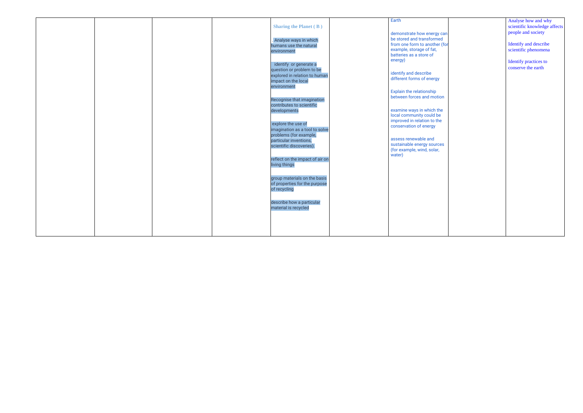|  |  |                                 | Earth                         | Analyse how and why          |
|--|--|---------------------------------|-------------------------------|------------------------------|
|  |  |                                 |                               |                              |
|  |  | <b>Sharing the Planet (B)</b>   |                               | scientific knowledge affects |
|  |  |                                 | demonstrate how energy can    | people and society           |
|  |  | . Analyse ways in which         | be stored and transformed     |                              |
|  |  | humans use the natural          | from one form to another (for | Identify and describe        |
|  |  | environment                     | example, storage of fat,      | scientific phenomena         |
|  |  |                                 | batteries as a store of       |                              |
|  |  |                                 | energy)                       | Identify practices to        |
|  |  | identify or generate a          |                               | conserve the earth           |
|  |  | question or problem to be       | identify and describe         |                              |
|  |  | explored in relation to human   | different forms of energy     |                              |
|  |  | impact on the local             |                               |                              |
|  |  | environment                     |                               |                              |
|  |  |                                 | Explain the relationship      |                              |
|  |  | Recognise that imagination      | between forces and motion     |                              |
|  |  | contributes to scientific       |                               |                              |
|  |  | developments                    | examine ways in which the     |                              |
|  |  |                                 | local community could be      |                              |
|  |  |                                 | improved in relation to the   |                              |
|  |  | explore the use of              | conservation of energy        |                              |
|  |  | imagination as a tool to solve  |                               |                              |
|  |  | problems (for example,          | assess renewable and          |                              |
|  |  | particular inventions,          | sustainable energy sources    |                              |
|  |  | scientific discoveries).        | (for example, wind, solar,    |                              |
|  |  |                                 | water)                        |                              |
|  |  | reflect on the impact of air on |                               |                              |
|  |  | living things                   |                               |                              |
|  |  |                                 |                               |                              |
|  |  |                                 |                               |                              |
|  |  | group materials on the basis    |                               |                              |
|  |  | of properties for the purpose   |                               |                              |
|  |  | of recycling                    |                               |                              |
|  |  |                                 |                               |                              |
|  |  | describe how a particular       |                               |                              |
|  |  | material is recycled            |                               |                              |
|  |  |                                 |                               |                              |
|  |  |                                 |                               |                              |
|  |  |                                 |                               |                              |
|  |  |                                 |                               |                              |
|  |  |                                 |                               |                              |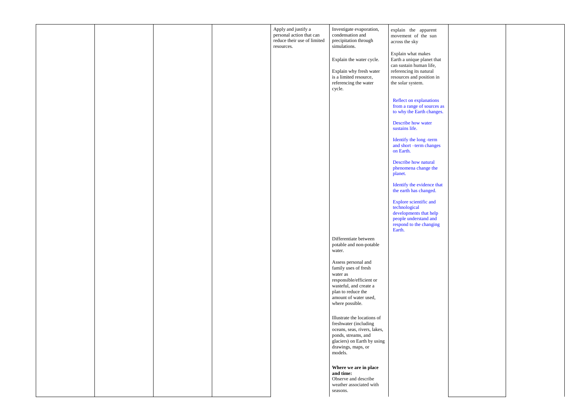|  |  | Apply and justify a<br>personal action that can<br>reduce their use of limited<br>resources. | Investigate evaporation,<br>condensation and<br>precipitation through<br>simulations.                                                                                           | explain the apparent<br>movement of the sun<br>across the sky                                                                   |
|--|--|----------------------------------------------------------------------------------------------|---------------------------------------------------------------------------------------------------------------------------------------------------------------------------------|---------------------------------------------------------------------------------------------------------------------------------|
|  |  |                                                                                              | Explain the water cycle.                                                                                                                                                        | Explain what makes<br>Earth a unique planet that                                                                                |
|  |  |                                                                                              | Explain why fresh water<br>is a limited resource,<br>referencing the water<br>cycle.                                                                                            | can sustain human life,<br>referencing its natural<br>resources and position in<br>the solar system.                            |
|  |  |                                                                                              |                                                                                                                                                                                 | <b>Reflect on explanations</b><br>from a range of sources as<br>to why the Earth changes.                                       |
|  |  |                                                                                              |                                                                                                                                                                                 | Describe how water<br>sustains life.                                                                                            |
|  |  |                                                                                              |                                                                                                                                                                                 | Identify the long -term<br>and short -term changes<br>on Earth.                                                                 |
|  |  |                                                                                              |                                                                                                                                                                                 | Describe how natural<br>phenomena change the<br>planet.                                                                         |
|  |  |                                                                                              |                                                                                                                                                                                 | Identify the evidence that<br>the earth has changed.                                                                            |
|  |  |                                                                                              |                                                                                                                                                                                 | Explore scientific and<br>technological<br>developments that help<br>people understand and<br>respond to the changing<br>Earth. |
|  |  |                                                                                              | Differentiate between<br>potable and non-potable<br>water.                                                                                                                      |                                                                                                                                 |
|  |  |                                                                                              | Assess personal and<br>family uses of fresh<br>water as<br>responsible/efficient or<br>wasteful, and create a<br>plan to reduce the<br>amount of water used,<br>where possible. |                                                                                                                                 |
|  |  |                                                                                              | Illustrate the locations of<br>freshwater (including<br>oceans, seas, rivers, lakes,<br>ponds, streams, and<br>glaciers) on Earth by using<br>drawings, maps, or<br>models.     |                                                                                                                                 |
|  |  |                                                                                              | Where we are in place<br>and time:<br>Observe and describe<br>weather associated with<br>seasons.                                                                               |                                                                                                                                 |

| $\overline{\text{is}}$ |  |  |
|------------------------|--|--|
| $\cdot$                |  |  |
|                        |  |  |
|                        |  |  |
|                        |  |  |
|                        |  |  |
|                        |  |  |
|                        |  |  |
|                        |  |  |
|                        |  |  |
|                        |  |  |
|                        |  |  |
|                        |  |  |
|                        |  |  |
|                        |  |  |
|                        |  |  |
|                        |  |  |
|                        |  |  |
|                        |  |  |
|                        |  |  |
|                        |  |  |
|                        |  |  |
| t                      |  |  |
|                        |  |  |
|                        |  |  |
|                        |  |  |
|                        |  |  |
|                        |  |  |
|                        |  |  |
|                        |  |  |
|                        |  |  |
|                        |  |  |
|                        |  |  |
|                        |  |  |
|                        |  |  |
|                        |  |  |
|                        |  |  |
|                        |  |  |
|                        |  |  |
|                        |  |  |
|                        |  |  |
|                        |  |  |
|                        |  |  |
|                        |  |  |
|                        |  |  |
|                        |  |  |
|                        |  |  |
|                        |  |  |
|                        |  |  |
|                        |  |  |
|                        |  |  |
|                        |  |  |
|                        |  |  |
|                        |  |  |
|                        |  |  |
|                        |  |  |
|                        |  |  |
|                        |  |  |
|                        |  |  |
|                        |  |  |
|                        |  |  |
|                        |  |  |
|                        |  |  |
|                        |  |  |
|                        |  |  |
|                        |  |  |
|                        |  |  |
|                        |  |  |
|                        |  |  |
|                        |  |  |
|                        |  |  |
|                        |  |  |
|                        |  |  |
|                        |  |  |
|                        |  |  |
|                        |  |  |
|                        |  |  |
|                        |  |  |
|                        |  |  |
|                        |  |  |
|                        |  |  |
|                        |  |  |
|                        |  |  |
|                        |  |  |
|                        |  |  |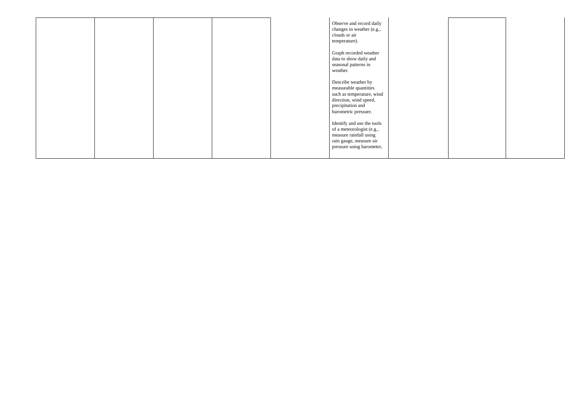|  |  | Observe and record daily<br>changes in weather (e.g.,<br>clouds or air<br>temperature).                                                          |
|--|--|--------------------------------------------------------------------------------------------------------------------------------------------------|
|  |  | Graph recorded weather<br>data to show daily and<br>seasonal patterns in<br>weather.                                                             |
|  |  | Describe weather by<br>measurable quantities<br>such as temperature, wind<br>direction, wind speed,<br>precipitation and<br>barometric pressure. |
|  |  | Identify and use the tools<br>of a meteorologist (e.g.,<br>measure rainfall using<br>rain gauge, measure air<br>pressure using barometer,        |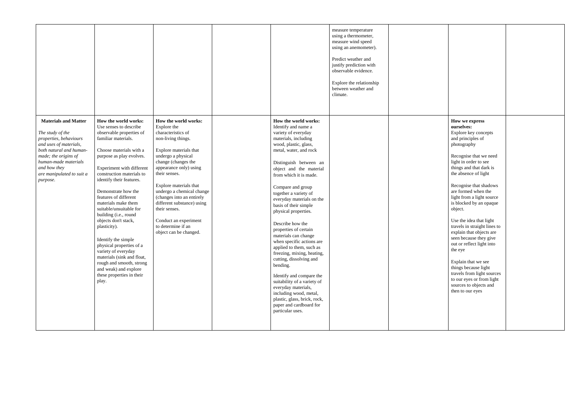|                                                                                                                                                                                                                                         |                                                                                                                                                                                                                                                                                                                                                                                                                                                                                                                                                                                                                      |                                                                                                                                                                                                                                                                                                                                                                                                               |                                                                                                                                                                                                                                                                                                                                                                                                                                                                                                                                                                                                                                                                                                                                                        | measure temperature<br>using a thermometer,<br>measure wind speed<br>using an anemometer).<br>Predict weather and<br>justify prediction with<br>observable evidence.<br>Explore the relationship<br>between weather and<br>climate. |  |
|-----------------------------------------------------------------------------------------------------------------------------------------------------------------------------------------------------------------------------------------|----------------------------------------------------------------------------------------------------------------------------------------------------------------------------------------------------------------------------------------------------------------------------------------------------------------------------------------------------------------------------------------------------------------------------------------------------------------------------------------------------------------------------------------------------------------------------------------------------------------------|---------------------------------------------------------------------------------------------------------------------------------------------------------------------------------------------------------------------------------------------------------------------------------------------------------------------------------------------------------------------------------------------------------------|--------------------------------------------------------------------------------------------------------------------------------------------------------------------------------------------------------------------------------------------------------------------------------------------------------------------------------------------------------------------------------------------------------------------------------------------------------------------------------------------------------------------------------------------------------------------------------------------------------------------------------------------------------------------------------------------------------------------------------------------------------|-------------------------------------------------------------------------------------------------------------------------------------------------------------------------------------------------------------------------------------|--|
| <b>Materials and Matter</b><br>The study of the<br>properties, behaviours<br>and uses of materials,<br>both natural and human-<br>made; the origins of<br>human-made materials<br>and how they<br>are manipulated to suit a<br>purpose. | How the world works:<br>Use senses to describe<br>observable properties of<br>familiar materials.<br>Choose materials with a<br>purpose as play evolves.<br>Experiment with different<br>construction materials to<br>identify their features.<br>Demonstrate how the<br>features of different<br>materials make them<br>suitable/unsuitable for<br>building (i.e., round<br>objects don't stack,<br>plasticity).<br>Identify the simple<br>physical properties of a<br>variety of everyday<br>materials (sink and float,<br>rough and smooth, strong<br>and weak) and explore<br>these properties in their<br>play. | How the world works:<br>Explore the<br>characteristics of<br>non-living things.<br>Explore materials that<br>undergo a physical<br>change (changes the<br>appearance only) using<br>their senses.<br>Explore materials that<br>undergo a chemical change<br>(changes into an entirely<br>different substance) using<br>their senses.<br>Conduct an experiment<br>to determine if an<br>object can be changed. | How the world works:<br>Identify and name a<br>variety of everyday<br>materials, including<br>wood, plastic, glass,<br>metal, water, and rock<br>Distinguish between an<br>object and the material<br>from which it is made.<br>Compare and group<br>together a variety of<br>everyday materials on the<br>basis of their simple<br>physical properties.<br>Describe how the<br>properties of certain<br>materials can change<br>when specific actions are<br>applied to them, such as<br>freezing, mixing, heating,<br>cutting, dissolving and<br>bending.<br>Identify and compare the<br>suitability of a variety of<br>everyday materials,<br>including wood, metal,<br>plastic, glass, brick, rock,<br>paper and cardboard for<br>particular uses. |                                                                                                                                                                                                                                     |  |

| How we express<br>ourselves:<br>Explore key concepts<br>and principles of<br>photography                                                              |  |
|-------------------------------------------------------------------------------------------------------------------------------------------------------|--|
| Recognise that we need<br>light in order to see<br>things and that dark is<br>the absence of light                                                    |  |
| Recognise that shadows<br>are formed when the<br>light from a light source<br>is blocked by an opaque<br>object.                                      |  |
| Use the idea that light<br>travels in straight lines to<br>explain that objects are<br>seen because they give<br>out or reflect light into<br>the eye |  |
| Explain that we see<br>things because light<br>travels from light sources<br>to our eyes or from light<br>sources to objects and<br>then to our eyes  |  |
|                                                                                                                                                       |  |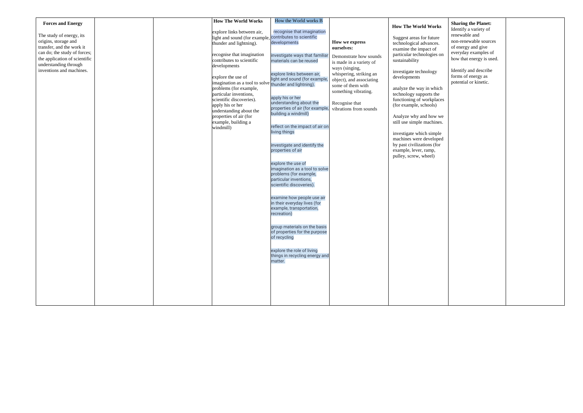| <b>Forces and Energy</b>      |  | <b>How The World Works</b>                              | How the World works B           |                          |                            |
|-------------------------------|--|---------------------------------------------------------|---------------------------------|--------------------------|----------------------------|
|                               |  |                                                         |                                 |                          | <b>How The World Works</b> |
|                               |  | explore links between air,                              | recognise that imagination      |                          |                            |
| The study of energy, its      |  | light and sound (for example, contributes to scientific |                                 |                          | Suggest areas for future   |
| origins, storage and          |  | thunder and lightning).                                 | developments                    | How we express           | technological advances.    |
| transfer, and the work it     |  |                                                         |                                 | ourselves:               | examine the impact of      |
| can do; the study of forces;  |  | recognise that imagination                              | investigate ways that familia   |                          | particular technologies on |
| the application of scientific |  | contributes to scientific                               | materials can be reused         | Demonstrate how sounds   | sustainability             |
| understanding through         |  | developments                                            |                                 | is made in a variety of  |                            |
| inventions and machines.      |  |                                                         |                                 | ways (singing,           | investigate technology     |
|                               |  |                                                         | explore links between air,      | whispering, striking an  |                            |
|                               |  | explore the use of                                      | light and sound (for example,   | object), and associating | developments               |
|                               |  | imagination as a tool to solve thunder and lightning).  |                                 | some of them with        |                            |
|                               |  | problems (for example,                                  |                                 | something vibrating.     | analyze the way in which   |
|                               |  | particular inventions,                                  | apply his or her                |                          | technology supports the    |
|                               |  | scientific discoveries).                                | understanding about the         | Recognise that           | functioning of workplaces  |
|                               |  | apply his or her                                        | properties of air (for example  |                          | (for example, schools)     |
|                               |  | understanding about the                                 | building a windmill)            | vibrations from sounds   |                            |
|                               |  | properties of air (for                                  |                                 |                          | Analyze why and how we     |
|                               |  | example, building a                                     |                                 |                          | still use simple machines. |
|                               |  | windmill)                                               | reflect on the impact of air on |                          |                            |
|                               |  |                                                         | living things                   |                          | investigate which simple   |
|                               |  |                                                         |                                 |                          | machines were developed    |
|                               |  |                                                         | investigate and identify the    |                          | by past civilizations (for |
|                               |  |                                                         | properties of air               |                          | example, lever, ramp,      |
|                               |  |                                                         |                                 |                          | pulley, screw, wheel)      |
|                               |  |                                                         |                                 |                          |                            |
|                               |  |                                                         | explore the use of              |                          |                            |
|                               |  |                                                         | imagination as a tool to solve  |                          |                            |
|                               |  |                                                         | problems (for example,          |                          |                            |
|                               |  |                                                         | particular inventions,          |                          |                            |
|                               |  |                                                         | scientific discoveries).        |                          |                            |
|                               |  |                                                         |                                 |                          |                            |
|                               |  |                                                         | examine how people use air      |                          |                            |
|                               |  |                                                         | in their everyday lives (for    |                          |                            |
|                               |  |                                                         | example, transportation,        |                          |                            |
|                               |  |                                                         | recreation)                     |                          |                            |
|                               |  |                                                         |                                 |                          |                            |
|                               |  |                                                         | group materials on the basis    |                          |                            |
|                               |  |                                                         | of properties for the purpose   |                          |                            |
|                               |  |                                                         | of recycling                    |                          |                            |
|                               |  |                                                         |                                 |                          |                            |
|                               |  |                                                         |                                 |                          |                            |
|                               |  |                                                         | explore the role of living      |                          |                            |
|                               |  |                                                         | things in recycling energy and  |                          |                            |
|                               |  |                                                         | matter.                         |                          |                            |
|                               |  |                                                         |                                 |                          |                            |
|                               |  |                                                         |                                 |                          |                            |
|                               |  |                                                         |                                 |                          |                            |
|                               |  |                                                         |                                 |                          |                            |
|                               |  |                                                         |                                 |                          |                            |
|                               |  |                                                         |                                 |                          |                            |
|                               |  |                                                         |                                 |                          |                            |

| š<br>n                          | <b>Sharing the Planet:</b><br>Identify a variety of<br>renewable and<br>non-renewable sources<br>of energy and give<br>everyday examples of<br>how that energy is used. |  |
|---------------------------------|-------------------------------------------------------------------------------------------------------------------------------------------------------------------------|--|
| h                               | Identify and describe<br>forms of energy as<br>potential or kinetic.                                                                                                    |  |
| es                              |                                                                                                                                                                         |  |
| e/<br>$\overline{\mathbf{s}}$ . |                                                                                                                                                                         |  |
| $\cdot$<br>d                    |                                                                                                                                                                         |  |
|                                 |                                                                                                                                                                         |  |
|                                 |                                                                                                                                                                         |  |
|                                 |                                                                                                                                                                         |  |
|                                 |                                                                                                                                                                         |  |
|                                 |                                                                                                                                                                         |  |
|                                 |                                                                                                                                                                         |  |
|                                 |                                                                                                                                                                         |  |
|                                 |                                                                                                                                                                         |  |
|                                 |                                                                                                                                                                         |  |
|                                 |                                                                                                                                                                         |  |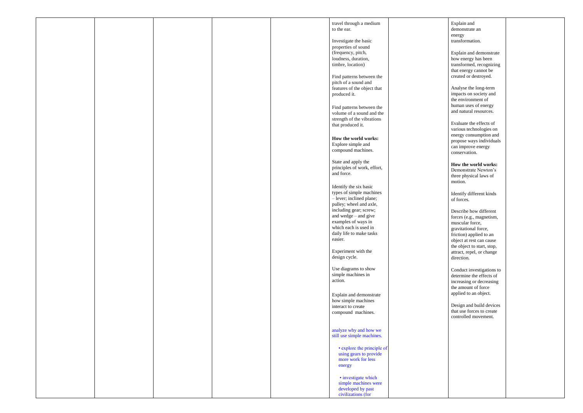|  |  | travel through a medium<br>to the ear.                                                                                                                                                                                                               |
|--|--|------------------------------------------------------------------------------------------------------------------------------------------------------------------------------------------------------------------------------------------------------|
|  |  | Investigate the basic<br>properties of sound<br>(frequency, pitch,<br>loudness, duration,<br>timbre, location)                                                                                                                                       |
|  |  | Find patterns between the<br>pitch of a sound and<br>features of the object that<br>produced it.                                                                                                                                                     |
|  |  | Find patterns between the<br>volume of a sound and the<br>strength of the vibrations<br>that produced it.                                                                                                                                            |
|  |  | How the world works:<br>Explore simple and<br>compound machines.                                                                                                                                                                                     |
|  |  | State and apply the<br>principles of work, effort,<br>and force.                                                                                                                                                                                     |
|  |  | Identify the six basic<br>types of simple machines<br>- lever; inclined plane;<br>pulley; wheel and axle,<br>including gear; screw;<br>and wedge $-$ and give<br>examples of ways in<br>which each is used in<br>daily life to make tasks<br>easier. |
|  |  | Experiment with the<br>design cycle.                                                                                                                                                                                                                 |
|  |  | Use diagrams to show<br>simple machines in<br>action.                                                                                                                                                                                                |
|  |  | Explain and demonstrate<br>how simple machines<br>interact to create<br>compound machines.                                                                                                                                                           |
|  |  | analyze why and how we<br>still use simple machines.                                                                                                                                                                                                 |
|  |  | • explore the principle of<br>using gears to provide<br>more work for less<br>energy                                                                                                                                                                 |
|  |  | · investigate which<br>simple machines were<br>developed by past<br>civilizations (for                                                                                                                                                               |

Explain and demonstrate an energy transformation.

Explain and demonstrate how energy has been transformed, recognizing that energy cannot be created or destroyed.

Analyse the long -term impacts on society and the environment of human uses of energy and natural resources.

Evaluate the effects of various technologies on energy consumption and propose ways individuals can improve energy conservation.

**How the world works:**  Demonstrate Newton's three physical laws of motion.

Identify different kinds of forces.

Describe how different forces (e.g., magnetism, muscular force, gravitational force, friction) applied to an object at rest can cause the object to start, stop, attract, repel, or change direction.

Conduct investigations to determine the effects of increasing or decreasing the amount of force applied to an object.

Design and build devices that use forces to create controlled movement.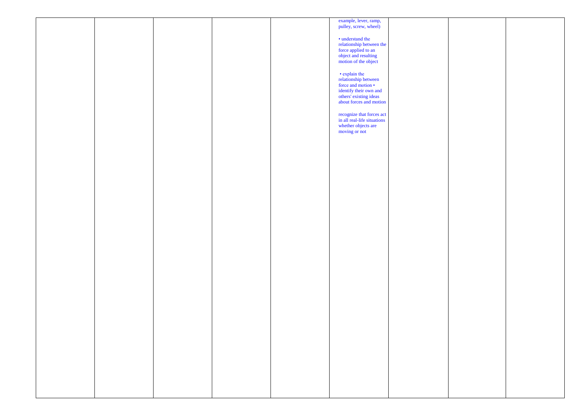|  |  | example, lever, ramp,<br>pulley, screw, wheel)                                                  |  |
|--|--|-------------------------------------------------------------------------------------------------|--|
|  |  |                                                                                                 |  |
|  |  | • understand the                                                                                |  |
|  |  | relationship between the<br>force applied to an<br>object and resulting<br>motion of the object |  |
|  |  |                                                                                                 |  |
|  |  |                                                                                                 |  |
|  |  |                                                                                                 |  |
|  |  | • explain the<br>relationship between<br>force and motion •                                     |  |
|  |  |                                                                                                 |  |
|  |  | identify their own and<br>others' existing ideas<br>about forces and motion                     |  |
|  |  |                                                                                                 |  |
|  |  |                                                                                                 |  |
|  |  | recognize that forces act<br>in all real-life situations                                        |  |
|  |  | whether objects are<br>moving or not                                                            |  |
|  |  |                                                                                                 |  |
|  |  |                                                                                                 |  |
|  |  |                                                                                                 |  |
|  |  |                                                                                                 |  |
|  |  |                                                                                                 |  |
|  |  |                                                                                                 |  |
|  |  |                                                                                                 |  |
|  |  |                                                                                                 |  |
|  |  |                                                                                                 |  |
|  |  |                                                                                                 |  |
|  |  |                                                                                                 |  |
|  |  |                                                                                                 |  |
|  |  |                                                                                                 |  |
|  |  |                                                                                                 |  |
|  |  |                                                                                                 |  |
|  |  |                                                                                                 |  |
|  |  |                                                                                                 |  |
|  |  |                                                                                                 |  |
|  |  |                                                                                                 |  |
|  |  |                                                                                                 |  |
|  |  |                                                                                                 |  |
|  |  |                                                                                                 |  |
|  |  |                                                                                                 |  |
|  |  |                                                                                                 |  |
|  |  |                                                                                                 |  |
|  |  |                                                                                                 |  |
|  |  |                                                                                                 |  |
|  |  |                                                                                                 |  |
|  |  |                                                                                                 |  |
|  |  |                                                                                                 |  |
|  |  |                                                                                                 |  |
|  |  |                                                                                                 |  |
|  |  |                                                                                                 |  |
|  |  |                                                                                                 |  |

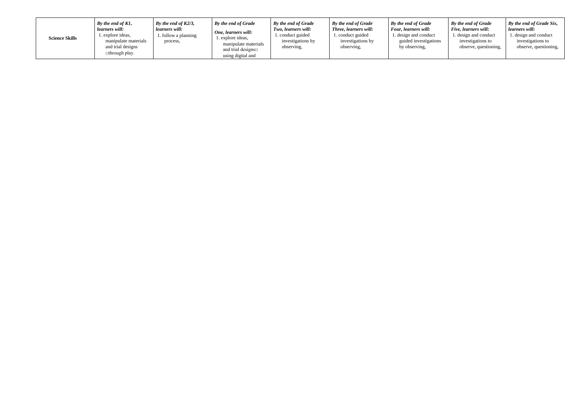| <b>Science Skills</b> | By the end of $K1$ ,<br>learners will:<br>1. explore ideas,<br>manipulate materials<br>and trial designs<br>⊐through play. | By the end of $K2/3$ ,<br>learners will:<br>1. follow a planning<br>process, | By the end of Grade<br>One, learners will:<br>explore ideas,<br>manipulate materials<br>and trial designs $\Box$<br>using digital and | By the end of Grade<br>Two, learners will:<br>. conduct guided<br>investigations by<br>observing, | By the end of Grade<br>Three, learners will:<br>1. conduct guided<br>investigations by<br>observing, | By the end of Grade<br><b>Four, learners will:</b><br>1. design and conduct<br>guided investigations<br>by observing, |
|-----------------------|----------------------------------------------------------------------------------------------------------------------------|------------------------------------------------------------------------------|---------------------------------------------------------------------------------------------------------------------------------------|---------------------------------------------------------------------------------------------------|------------------------------------------------------------------------------------------------------|-----------------------------------------------------------------------------------------------------------------------|
|-----------------------|----------------------------------------------------------------------------------------------------------------------------|------------------------------------------------------------------------------|---------------------------------------------------------------------------------------------------------------------------------------|---------------------------------------------------------------------------------------------------|------------------------------------------------------------------------------------------------------|-----------------------------------------------------------------------------------------------------------------------|

*By the end of Grade Five, learners will:* 1. design and conduct investigations to observe, questioning, *By the end of Grade Six, learners will:* 1. design and conduct investigations to observe, questioning,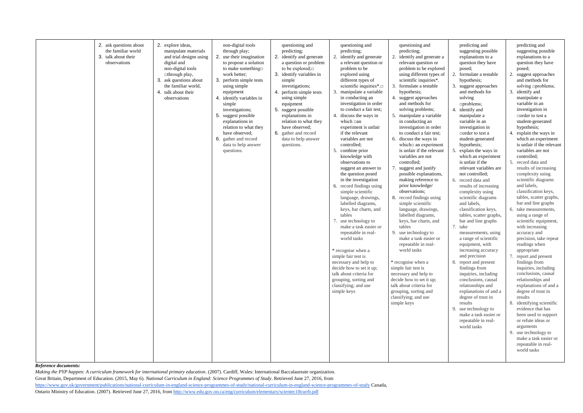| 2. ask questions about<br>2. explore ideas,<br>non-digital tools<br>questioning and<br>questioning and<br>questioning and<br>the familiar world<br>manipulate materials<br>predicting;<br>predicting;<br>predicting;<br>through play;<br>identify and generate<br>2. use their imagination<br>2.<br>identify and generate<br>2.<br>identify and generate a<br>talk about their<br>and trial designs using<br>2.<br>3.<br>observations<br>digital and<br>to propose a solution<br>a question or problem<br>a relevant question or<br>relevant question or<br>non-digital tools<br>to make something<br>problem to be explored<br>to be explored; $\Box$<br>problem to be<br>3. identify variables in<br>□through play,<br>work better;<br>using different types of<br>explored using<br>different types of<br>scientific inquiries*.<br>3. ask questions about<br>3. perform simple tests<br>simple<br>scientific inquiries*.<br>the familiar world,<br>3. formulate a testable<br>investigations;<br>using simple<br>4. talk about their<br>4.<br>manipulate a variable<br>equipment<br>perform simple tests<br>3.<br>hypothesis;<br>observations<br>4. identify variables in<br>in conducting an<br>4. suggest approaches<br>using simple<br>and methods for<br>investigation in order<br>simple<br>equipment<br>5. suggest possible<br>to conduct a fair test;<br>solving problems;<br>investigations;<br>discuss the ways in<br>5. manipulate a variable<br>5. suggest possible<br>explanations in<br>4.<br>which $\Box$ an<br>in conducting an<br>relation to what they<br>explanations in<br>relation to what they<br>have observed;<br>investigation in order<br>experiment is unfair<br>if the relevant<br>to conduct a fair test;<br>have observed;<br>6. gather and record<br>variables are not<br>6. gather and record<br>discuss the ways in<br>data to help answer<br>6.<br>which an experiment<br>controlled;<br>data to help answer<br>questions.<br>is unfair if the relevant<br>combine prior<br>5.<br>questions.<br>variables are not<br>knowledge with<br>controlled;<br>observations to<br>suggest and justify<br>7.<br>suggest an answer to<br>the question posed<br>possible explanations,<br>in the investigation<br>making reference to<br>prior knowledge/<br>6. record findings using<br>observations;<br>simple scientific<br>record findings using<br>language, drawings,<br>8.<br>labelled diagrams,<br>simple scientific<br>keys, bar charts, and<br>language, drawings,<br>tables<br>labelled diagrams,<br>keys, bar charts, and<br>use technology to<br>7.<br>make a task easier or<br>tables<br>repeatable in real-<br>use technology to<br>9.<br>make a task easier or<br>world tasks<br>repeatable in real-<br>world tasks<br>* recognise when a<br>simple fair test is<br>* recognise when a<br>necessary and help to<br>decide how to set it up;<br>simple fair test is<br>talk about criteria for<br>necessary and help to<br>decide how to set it up;<br>grouping, sorting and<br>talk about criteria for<br>classifying; and use<br>simple keys<br>grouping, sorting and<br>classifying; and use<br>simple keys |  |  |  |  |
|--------------------------------------------------------------------------------------------------------------------------------------------------------------------------------------------------------------------------------------------------------------------------------------------------------------------------------------------------------------------------------------------------------------------------------------------------------------------------------------------------------------------------------------------------------------------------------------------------------------------------------------------------------------------------------------------------------------------------------------------------------------------------------------------------------------------------------------------------------------------------------------------------------------------------------------------------------------------------------------------------------------------------------------------------------------------------------------------------------------------------------------------------------------------------------------------------------------------------------------------------------------------------------------------------------------------------------------------------------------------------------------------------------------------------------------------------------------------------------------------------------------------------------------------------------------------------------------------------------------------------------------------------------------------------------------------------------------------------------------------------------------------------------------------------------------------------------------------------------------------------------------------------------------------------------------------------------------------------------------------------------------------------------------------------------------------------------------------------------------------------------------------------------------------------------------------------------------------------------------------------------------------------------------------------------------------------------------------------------------------------------------------------------------------------------------------------------------------------------------------------------------------------------------------------------------------------------------------------------------------------------------------------------------------------------------------------------------------------------------------------------------------------------------------------------------------------------------------------------------------------------------------------------------------------------------------------------------------------------------------------------------------------------------------------------------------------------------------------------------------------------------------------------|--|--|--|--|
|                                                                                                                                                                                                                                                                                                                                                                                                                                                                                                                                                                                                                                                                                                                                                                                                                                                                                                                                                                                                                                                                                                                                                                                                                                                                                                                                                                                                                                                                                                                                                                                                                                                                                                                                                                                                                                                                                                                                                                                                                                                                                                                                                                                                                                                                                                                                                                                                                                                                                                                                                                                                                                                                                                                                                                                                                                                                                                                                                                                                                                                                                                                                                        |  |  |  |  |
|                                                                                                                                                                                                                                                                                                                                                                                                                                                                                                                                                                                                                                                                                                                                                                                                                                                                                                                                                                                                                                                                                                                                                                                                                                                                                                                                                                                                                                                                                                                                                                                                                                                                                                                                                                                                                                                                                                                                                                                                                                                                                                                                                                                                                                                                                                                                                                                                                                                                                                                                                                                                                                                                                                                                                                                                                                                                                                                                                                                                                                                                                                                                                        |  |  |  |  |
|                                                                                                                                                                                                                                                                                                                                                                                                                                                                                                                                                                                                                                                                                                                                                                                                                                                                                                                                                                                                                                                                                                                                                                                                                                                                                                                                                                                                                                                                                                                                                                                                                                                                                                                                                                                                                                                                                                                                                                                                                                                                                                                                                                                                                                                                                                                                                                                                                                                                                                                                                                                                                                                                                                                                                                                                                                                                                                                                                                                                                                                                                                                                                        |  |  |  |  |

*Making the PYP happen: A curriculum framework for international primary education*. (2007). Cardiff, Wales: International Baccalaureate organization. Great Britain, Department of Education. (2015, May 6). *National Curriculum in England: Science Programmes of Study*. Retrieved June 27, 2016, from <https://www.gov.uk/government/publications/national-curriculum-in-england-science-programmes-of-study/national-curriculum-in-england-science-programmes-of-study> Canada, Ontario Ministry of Education. (2007). Retrieved June 27, 2016, from<http://www.edu.gov.on.ca/eng/curriculum/elementary/scientec18currb.pdf>

|    |    | predicting and                          |                | predicting and                                   |
|----|----|-----------------------------------------|----------------|--------------------------------------------------|
|    |    | suggesting possible                     |                | suggesting possible                              |
| a  |    | explanations to a                       |                | explanations to a                                |
|    |    | question they have                      |                | question they have                               |
| ь  |    | posed;                                  |                | posed;                                           |
| эf | 2. | formulate a testable                    | 2.             | suggest approaches                               |
|    |    | hypothesis;                             |                | and methods for                                  |
|    | 3. | suggest approaches                      |                | solving □problems;                               |
|    |    | and methods for                         | 3.             | identify and                                     |
|    |    | solving                                 |                | manipulate a                                     |
|    |    | $\square$ problems;                     |                | variable in an                                   |
|    |    | 4. identify and                         |                | investigation in                                 |
|    |    | manipulate a                            |                | $\Box$ order to test a                           |
|    |    | variable in an                          |                |                                                  |
|    |    |                                         |                | student-generated                                |
|    |    | investigation in                        |                | hypothesis;                                      |
|    |    | $\Box$ order to test a                  | 4.             | explain the ways in                              |
|    |    | student-generated                       |                | which an experiment<br>is unfair if the relevant |
| t  |    | hypothesis;                             |                |                                                  |
| ıt |    | 5. explain the ways in                  |                | variables are not                                |
|    |    | which an experiment<br>is unfair if the | 5 <sub>1</sub> | controlled;                                      |
|    |    | relevant variables are                  |                | record data and                                  |
|    |    | not controlled;                         |                | results of increasing                            |
| ,  |    | 6. record data and                      |                | complexity using<br>scientific diagrams          |
|    |    |                                         |                |                                                  |
|    |    | results of increasing                   |                | and labels,                                      |
|    |    | complexity using<br>scientific diagrams |                | classification keys,<br>tables, scatter graphs,  |
|    |    | and labels,                             |                |                                                  |
|    |    | classification keys,                    | 6.             | bar and line graphs<br>take measurements,        |
|    |    | tables, scatter graphs,                 |                | using a range of                                 |
|    |    | bar and line graphs                     |                | scientific equipment,                            |
|    |    | 7. take                                 |                | with increasing                                  |
|    |    | measurements, using                     |                | accuracy and                                     |
|    |    | a range of scientific                   |                | precision, take repeat                           |
|    |    | equipment, with                         |                | readings when                                    |
|    |    | increasing accuracy                     |                | appropriate                                      |
|    |    | and precision                           | 7.             | report and present                               |
|    |    | 8. report and present                   |                | findings from                                    |
|    |    | findings from                           |                | inquiries, including                             |
|    |    | inquiries, including                    |                | conclusions, causal                              |
|    |    | conclusions, causal                     |                | relationships and                                |
|    |    | relationships and                       |                | explanations of and a                            |
|    |    | explanations of and a                   |                | degree of trust in                               |
|    |    | degree of trust in                      |                | results                                          |
|    |    | results                                 | 8.             | identifying scientific                           |
|    |    | 9. use technology to                    |                | evidence that has                                |
|    |    | make a task easier or                   |                | been used to support                             |
|    |    | repeatable in real-                     |                | or refute ideas or                               |
|    |    | world tasks                             |                | arguments                                        |
|    |    |                                         | 9.             | use technology to                                |
|    |    |                                         |                | make a task easier or                            |
|    |    |                                         |                | repeatable in real-                              |
|    |    |                                         |                | world tasks                                      |
|    |    |                                         |                |                                                  |
|    |    |                                         |                |                                                  |
|    |    |                                         |                |                                                  |

## *Reference documents:*